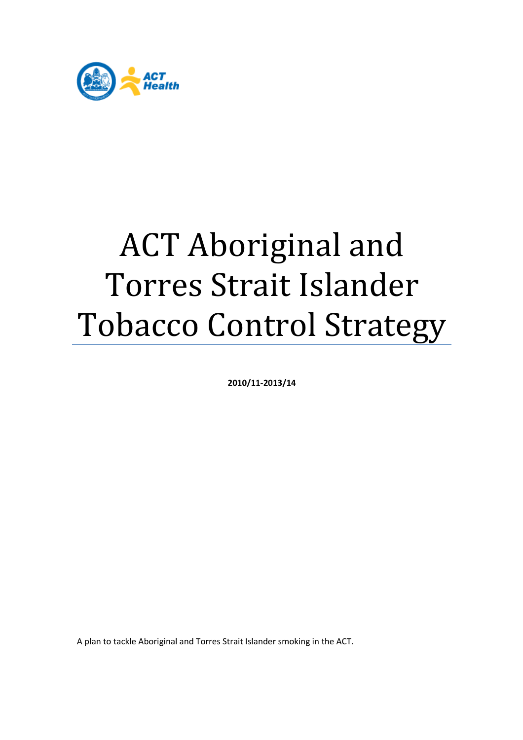

# ACT Aboriginal and Torres Strait Islander Tobacco Control Strategy

**2010/11-2013/14** 

A plan to tackle Aboriginal and Torres Strait Islander smoking in the ACT.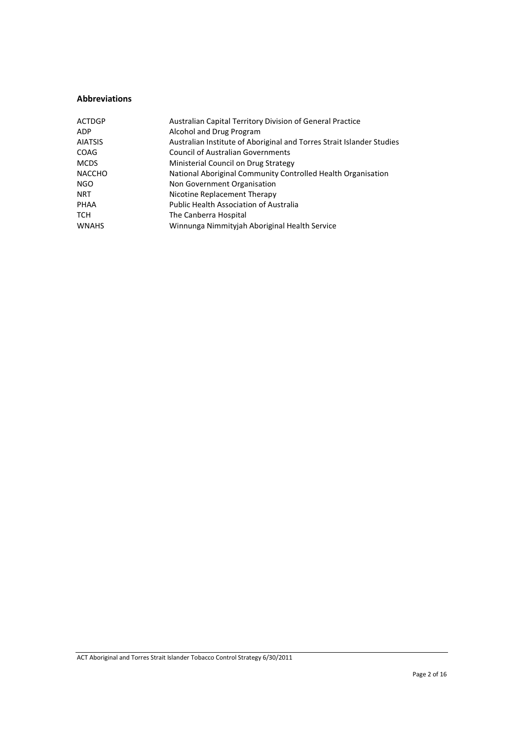#### **Abbreviations**

| Australian Capital Territory Division of General Practice             |
|-----------------------------------------------------------------------|
| Alcohol and Drug Program                                              |
| Australian Institute of Aboriginal and Torres Strait Islander Studies |
| <b>Council of Australian Governments</b>                              |
| Ministerial Council on Drug Strategy                                  |
| National Aboriginal Community Controlled Health Organisation          |
| Non Government Organisation                                           |
| Nicotine Replacement Therapy                                          |
| <b>Public Health Association of Australia</b>                         |
| The Canberra Hospital                                                 |
| Winnunga Nimmityjah Aboriginal Health Service                         |
|                                                                       |

ACT Aboriginal and Torres Strait Islander Tobacco Control Strategy 6/30/2011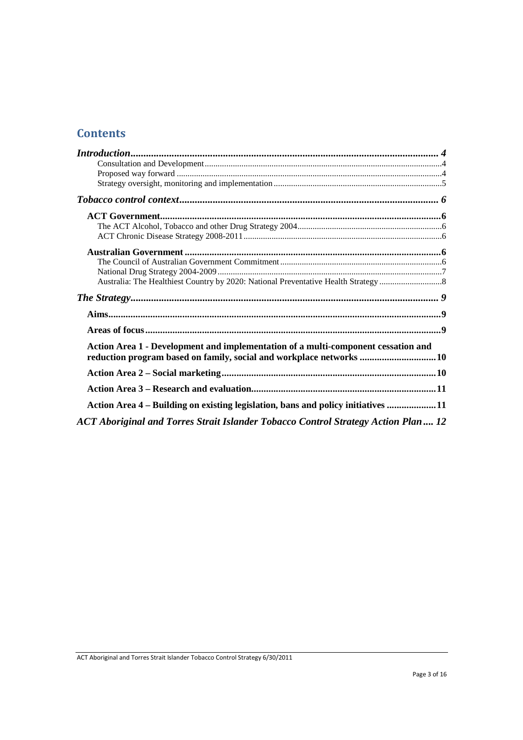# **Contents**

| Action Area 1 - Development and implementation of a multi-component cessation and  |  |
|------------------------------------------------------------------------------------|--|
| reduction program based on family, social and workplace networks 10                |  |
|                                                                                    |  |
|                                                                                    |  |
| Action Area 4 – Building on existing legislation, bans and policy initiatives 11   |  |
| ACT Aboriginal and Torres Strait Islander Tobacco Control Strategy Action Plan  12 |  |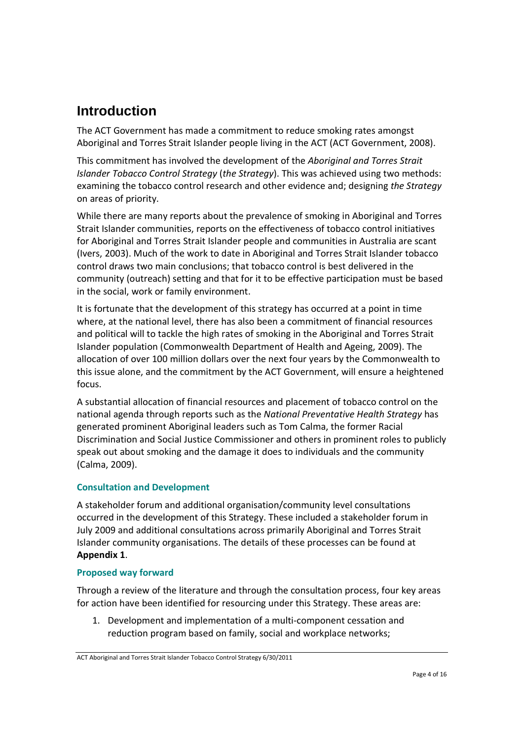# **Introduction**

The ACT Government has made a commitment to reduce smoking rates amongst Aboriginal and Torres Strait Islander people living in the ACT (ACT Government, 2008).

This commitment has involved the development of the *Aboriginal and Torres Strait Islander Tobacco Control Strategy* (*the Strategy*). This was achieved using two methods: examining the tobacco control research and other evidence and; designing *the Strategy* on areas of priority.

While there are many reports about the prevalence of smoking in Aboriginal and Torres Strait Islander communities, reports on the effectiveness of tobacco control initiatives for Aboriginal and Torres Strait Islander people and communities in Australia are scant (Ivers, 2003). Much of the work to date in Aboriginal and Torres Strait Islander tobacco control draws two main conclusions; that tobacco control is best delivered in the community (outreach) setting and that for it to be effective participation must be based in the social, work or family environment.

It is fortunate that the development of this strategy has occurred at a point in time where, at the national level, there has also been a commitment of financial resources and political will to tackle the high rates of smoking in the Aboriginal and Torres Strait Islander population (Commonwealth Department of Health and Ageing, 2009). The allocation of over 100 million dollars over the next four years by the Commonwealth to this issue alone, and the commitment by the ACT Government, will ensure a heightened focus.

A substantial allocation of financial resources and placement of tobacco control on the national agenda through reports such as the *National Preventative Health Strategy* has generated prominent Aboriginal leaders such as Tom Calma, the former Racial Discrimination and Social Justice Commissioner and others in prominent roles to publicly speak out about smoking and the damage it does to individuals and the community (Calma, 2009).

## **Consultation and Development**

A stakeholder forum and additional organisation/community level consultations occurred in the development of this Strategy. These included a stakeholder forum in July 2009 and additional consultations across primarily Aboriginal and Torres Strait Islander community organisations. The details of these processes can be found at **Appendix 1**.

## **Proposed way forward**

Through a review of the literature and through the consultation process, four key areas for action have been identified for resourcing under this Strategy. These areas are:

1. Development and implementation of a multi-component cessation and reduction program based on family, social and workplace networks;

ACT Aboriginal and Torres Strait Islander Tobacco Control Strategy 6/30/2011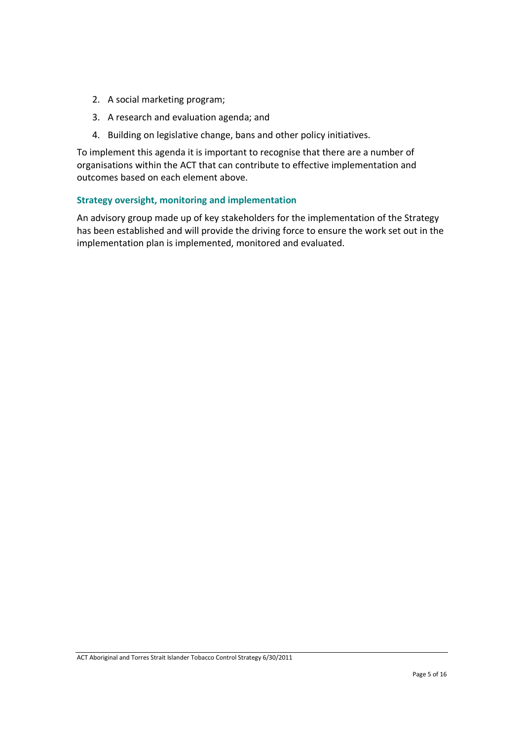- 2. A social marketing program;
- 3. A research and evaluation agenda; and
- 4. Building on legislative change, bans and other policy initiatives.

To implement this agenda it is important to recognise that there are a number of organisations within the ACT that can contribute to effective implementation and outcomes based on each element above.

#### **Strategy oversight, monitoring and implementation**

An advisory group made up of key stakeholders for the implementation of the Strategy has been established and will provide the driving force to ensure the work set out in the implementation plan is implemented, monitored and evaluated.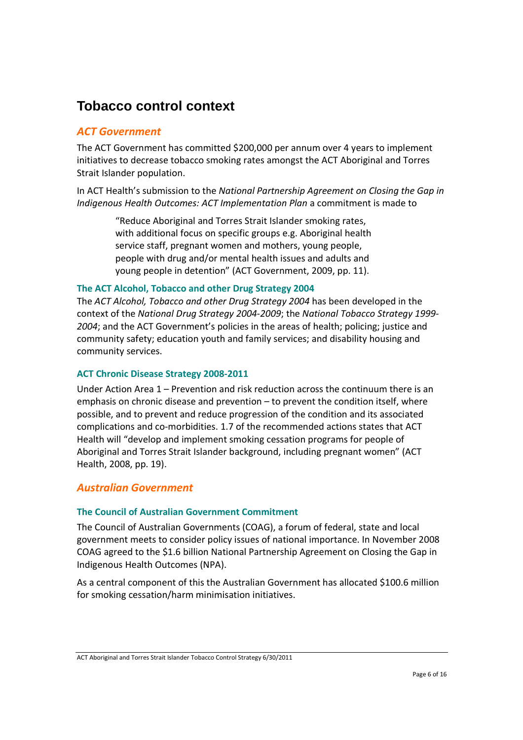# **Tobacco control context**

## *ACT Government*

The ACT Government has committed \$200,000 per annum over 4 years to implement initiatives to decrease tobacco smoking rates amongst the ACT Aboriginal and Torres Strait Islander population.

In ACT Health's submission to the *National Partnership Agreement on Closing the Gap in Indigenous Health Outcomes: ACT Implementation Plan* a commitment is made to

> "Reduce Aboriginal and Torres Strait Islander smoking rates, with additional focus on specific groups e.g. Aboriginal health service staff, pregnant women and mothers, young people, people with drug and/or mental health issues and adults and young people in detention" (ACT Government, 2009, pp. 11).

#### **The ACT Alcohol, Tobacco and other Drug Strategy 2004**

The *ACT Alcohol, Tobacco and other Drug Strategy 2004* has been developed in the context of the *National Drug Strategy 2004-2009*; the *National Tobacco Strategy 1999- 2004*; and the ACT Government's policies in the areas of health; policing; justice and community safety; education youth and family services; and disability housing and community services.

#### **ACT Chronic Disease Strategy 2008-2011**

Under Action Area 1 – Prevention and risk reduction across the continuum there is an emphasis on chronic disease and prevention – to prevent the condition itself, where possible, and to prevent and reduce progression of the condition and its associated complications and co-morbidities. 1.7 of the recommended actions states that ACT Health will "develop and implement smoking cessation programs for people of Aboriginal and Torres Strait Islander background, including pregnant women" (ACT Health, 2008, pp. 19).

## *Australian Government*

## **The Council of Australian Government Commitment**

The Council of Australian Governments (COAG), a forum of federal, state and local government meets to consider policy issues of national importance. In November 2008 COAG agreed to the \$1.6 billion National Partnership Agreement on Closing the Gap in Indigenous Health Outcomes (NPA).

As a central component of this the Australian Government has allocated \$100.6 million for smoking cessation/harm minimisation initiatives.

ACT Aboriginal and Torres Strait Islander Tobacco Control Strategy 6/30/2011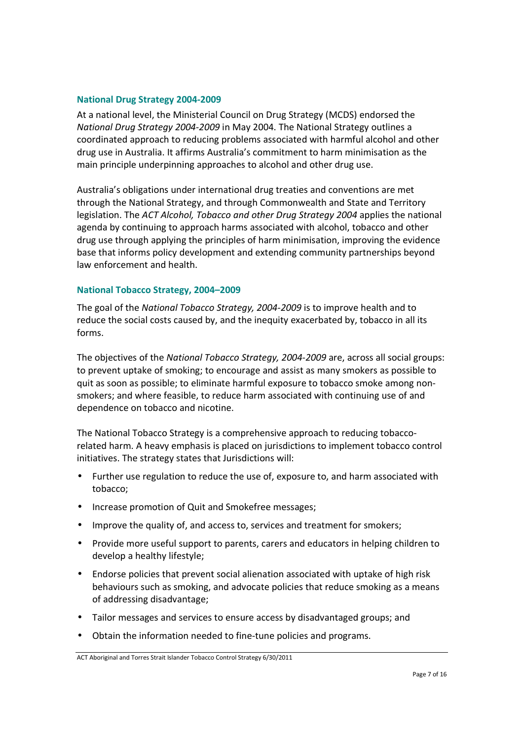#### **National Drug Strategy 2004-2009**

At a national level, the Ministerial Council on Drug Strategy (MCDS) endorsed the *National Drug Strategy 2004-2009* in May 2004. The National Strategy outlines a coordinated approach to reducing problems associated with harmful alcohol and other drug use in Australia. It affirms Australia's commitment to harm minimisation as the main principle underpinning approaches to alcohol and other drug use.

Australia's obligations under international drug treaties and conventions are met through the National Strategy, and through Commonwealth and State and Territory legislation. The *ACT Alcohol, Tobacco and other Drug Strategy 2004* applies the national agenda by continuing to approach harms associated with alcohol, tobacco and other drug use through applying the principles of harm minimisation, improving the evidence base that informs policy development and extending community partnerships beyond law enforcement and health.

#### **National Tobacco Strategy, 2004–2009**

The goal of the *National Tobacco Strategy, 2004-2009* is to improve health and to reduce the social costs caused by, and the inequity exacerbated by, tobacco in all its forms.

The objectives of the *National Tobacco Strategy, 2004-2009* are, across all social groups: to prevent uptake of smoking; to encourage and assist as many smokers as possible to quit as soon as possible; to eliminate harmful exposure to tobacco smoke among nonsmokers; and where feasible, to reduce harm associated with continuing use of and dependence on tobacco and nicotine.

The National Tobacco Strategy is a comprehensive approach to reducing tobaccorelated harm. A heavy emphasis is placed on jurisdictions to implement tobacco control initiatives. The strategy states that Jurisdictions will:

- Further use regulation to reduce the use of, exposure to, and harm associated with tobacco;
- Increase promotion of Quit and Smokefree messages;
- Improve the quality of, and access to, services and treatment for smokers;
- Provide more useful support to parents, carers and educators in helping children to develop a healthy lifestyle;
- Endorse policies that prevent social alienation associated with uptake of high risk behaviours such as smoking, and advocate policies that reduce smoking as a means of addressing disadvantage;
- Tailor messages and services to ensure access by disadvantaged groups; and
- Obtain the information needed to fine-tune policies and programs.

ACT Aboriginal and Torres Strait Islander Tobacco Control Strategy 6/30/2011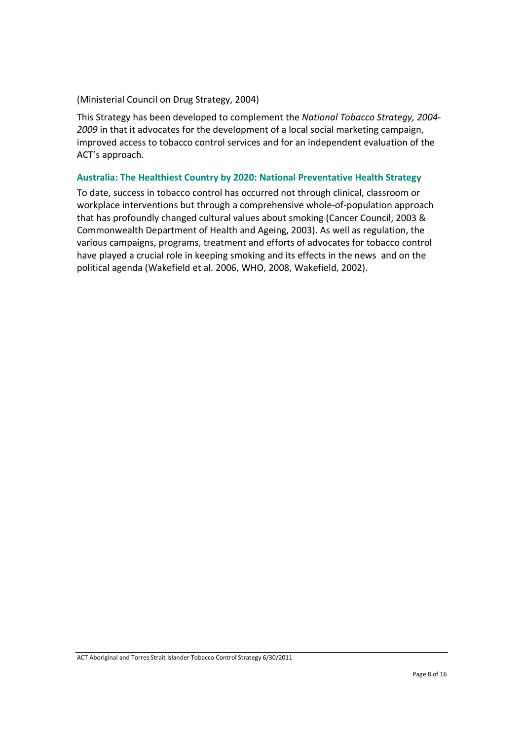#### (Ministerial Council on Drug Strategy, 2004)

This Strategy has been developed to complement the *National Tobacco Strategy, 2004- 2009* in that it advocates for the development of a local social marketing campaign, improved access to tobacco control services and for an independent evaluation of the ACT's approach.

#### **Australia: The Healthiest Country by 2020: National Preventative Health Strategy**

To date, success in tobacco control has occurred not through clinical, classroom or workplace interventions but through a comprehensive whole-of-population approach that has profoundly changed cultural values about smoking (Cancer Council, 2003 & Commonwealth Department of Health and Ageing, 2003). As well as regulation, the various campaigns, programs, treatment and efforts of advocates for tobacco control have played a crucial role in keeping smoking and its effects in the news and on the political agenda (Wakefield et al. 2006, WHO, 2008, Wakefield, 2002).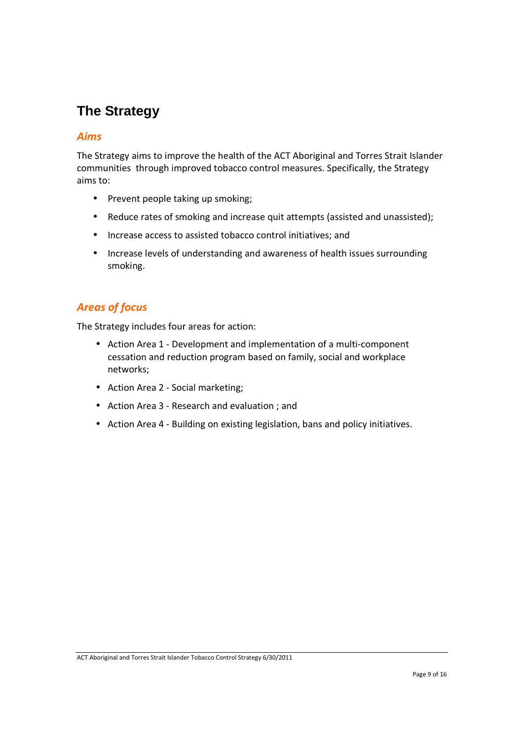# **The Strategy**

# *Aims*

The Strategy aims to improve the health of the ACT Aboriginal and Torres Strait Islander communities through improved tobacco control measures. Specifically, the Strategy aims to:

- Prevent people taking up smoking;
- Reduce rates of smoking and increase quit attempts (assisted and unassisted);
- Increase access to assisted tobacco control initiatives; and
- Increase levels of understanding and awareness of health issues surrounding smoking.

# *Areas of focus*

The Strategy includes four areas for action:

- Action Area 1 Development and implementation of a multi-component cessation and reduction program based on family, social and workplace networks;
- Action Area 2 Social marketing;
- Action Area 3 Research and evaluation ; and
- Action Area 4 Building on existing legislation, bans and policy initiatives.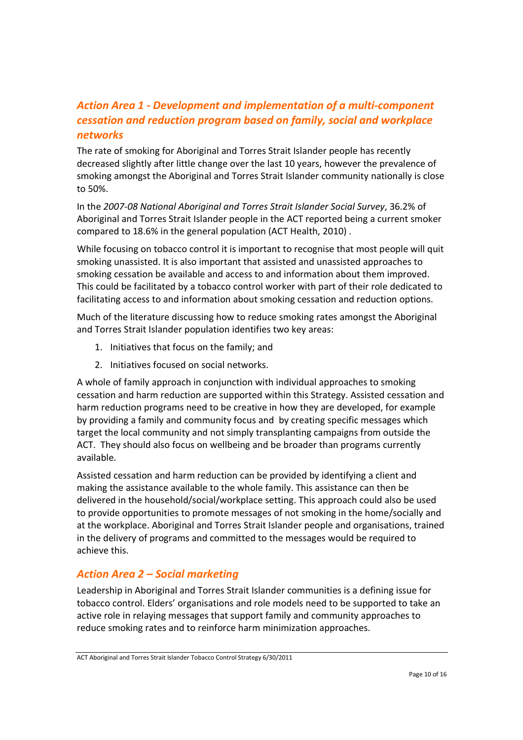# *Action Area 1 - Development and implementation of a multi-component cessation and reduction program based on family, social and workplace networks*

The rate of smoking for Aboriginal and Torres Strait Islander people has recently decreased slightly after little change over the last 10 years, however the prevalence of smoking amongst the Aboriginal and Torres Strait Islander community nationally is close to 50%.

In the *2007-08 National Aboriginal and Torres Strait Islander Social Survey*, 36.2% of Aboriginal and Torres Strait Islander people in the ACT reported being a current smoker compared to 18.6% in the general population (ACT Health, 2010) .

While focusing on tobacco control it is important to recognise that most people will quit smoking unassisted. It is also important that assisted and unassisted approaches to smoking cessation be available and access to and information about them improved. This could be facilitated by a tobacco control worker with part of their role dedicated to facilitating access to and information about smoking cessation and reduction options.

Much of the literature discussing how to reduce smoking rates amongst the Aboriginal and Torres Strait Islander population identifies two key areas:

- 1. Initiatives that focus on the family; and
- 2. Initiatives focused on social networks.

A whole of family approach in conjunction with individual approaches to smoking cessation and harm reduction are supported within this Strategy. Assisted cessation and harm reduction programs need to be creative in how they are developed, for example by providing a family and community focus and by creating specific messages which target the local community and not simply transplanting campaigns from outside the ACT. They should also focus on wellbeing and be broader than programs currently available.

Assisted cessation and harm reduction can be provided by identifying a client and making the assistance available to the whole family. This assistance can then be delivered in the household/social/workplace setting. This approach could also be used to provide opportunities to promote messages of not smoking in the home/socially and at the workplace. Aboriginal and Torres Strait Islander people and organisations, trained in the delivery of programs and committed to the messages would be required to achieve this.

# *Action Area 2 – Social marketing*

Leadership in Aboriginal and Torres Strait Islander communities is a defining issue for tobacco control. Elders' organisations and role models need to be supported to take an active role in relaying messages that support family and community approaches to reduce smoking rates and to reinforce harm minimization approaches.

ACT Aboriginal and Torres Strait Islander Tobacco Control Strategy 6/30/2011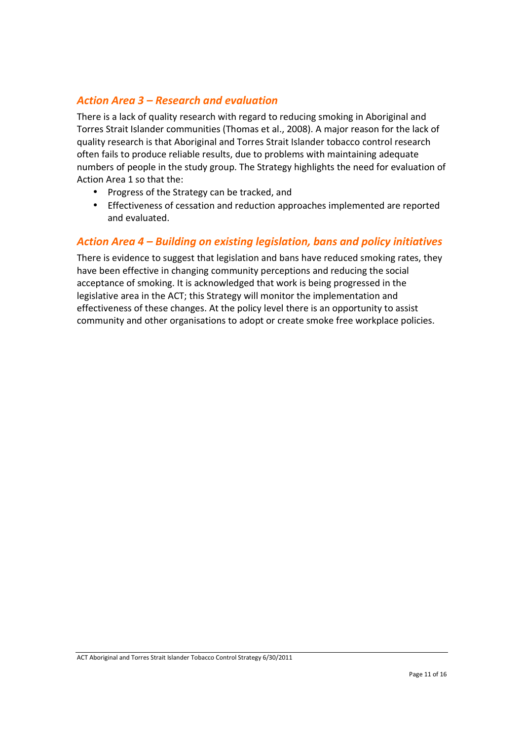# *Action Area 3 – Research and evaluation*

There is a lack of quality research with regard to reducing smoking in Aboriginal and Torres Strait Islander communities (Thomas et al., 2008). A major reason for the lack of quality research is that Aboriginal and Torres Strait Islander tobacco control research often fails to produce reliable results, due to problems with maintaining adequate numbers of people in the study group. The Strategy highlights the need for evaluation of Action Area 1 so that the:

- Progress of the Strategy can be tracked, and
- Effectiveness of cessation and reduction approaches implemented are reported and evaluated.

# *Action Area 4 – Building on existing legislation, bans and policy initiatives*

There is evidence to suggest that legislation and bans have reduced smoking rates, they have been effective in changing community perceptions and reducing the social acceptance of smoking. It is acknowledged that work is being progressed in the legislative area in the ACT; this Strategy will monitor the implementation and effectiveness of these changes. At the policy level there is an opportunity to assist community and other organisations to adopt or create smoke free workplace policies.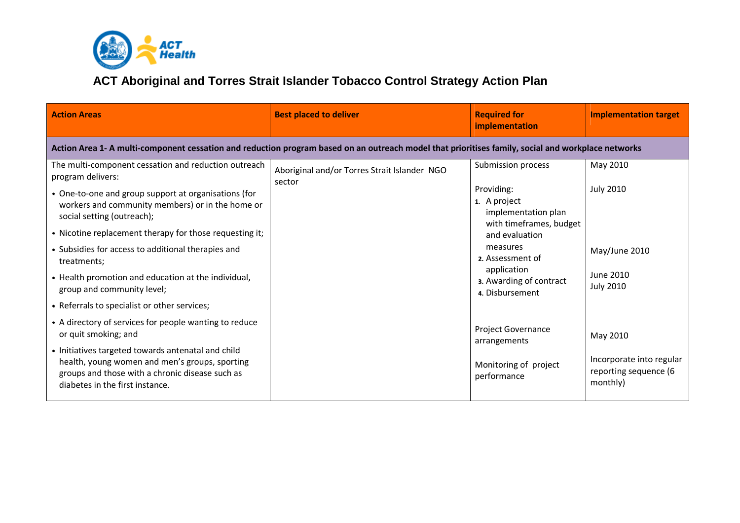

# **ACT Aboriginal and Torres Strait Islander Tobacco Control Strategy Action Plan**

| <b>Action Areas</b>                                                                                                                                                                                                                                                          | <b>Best placed to deliver</b>                          | <b>Required for</b><br>implementation                                                                                                  | <b>Implementation target</b>                                              |  |  |  |
|------------------------------------------------------------------------------------------------------------------------------------------------------------------------------------------------------------------------------------------------------------------------------|--------------------------------------------------------|----------------------------------------------------------------------------------------------------------------------------------------|---------------------------------------------------------------------------|--|--|--|
| Action Area 1- A multi-component cessation and reduction program based on an outreach model that prioritises family, social and workplace networks                                                                                                                           |                                                        |                                                                                                                                        |                                                                           |  |  |  |
| The multi-component cessation and reduction outreach<br>program delivers:<br>• One-to-one and group support at organisations (for<br>workers and community members) or in the home or<br>social setting (outreach);                                                          | Aboriginal and/or Torres Strait Islander NGO<br>sector | Submission process<br>Providing:<br>1. A project<br>implementation plan                                                                | May 2010<br><b>July 2010</b>                                              |  |  |  |
| • Nicotine replacement therapy for those requesting it;<br>• Subsidies for access to additional therapies and<br>treatments;<br>• Health promotion and education at the individual,<br>group and community level;<br>• Referrals to specialist or other services;            |                                                        | with timeframes, budget<br>and evaluation<br>measures<br>2. Assessment of<br>application<br>3. Awarding of contract<br>4. Disbursement | May/June 2010<br>June 2010<br><b>July 2010</b>                            |  |  |  |
| • A directory of services for people wanting to reduce<br>or quit smoking; and<br>• Initiatives targeted towards antenatal and child<br>health, young women and men's groups, sporting<br>groups and those with a chronic disease such as<br>diabetes in the first instance. |                                                        | <b>Project Governance</b><br>arrangements<br>Monitoring of project<br>performance                                                      | May 2010<br>Incorporate into regular<br>reporting sequence (6<br>monthly) |  |  |  |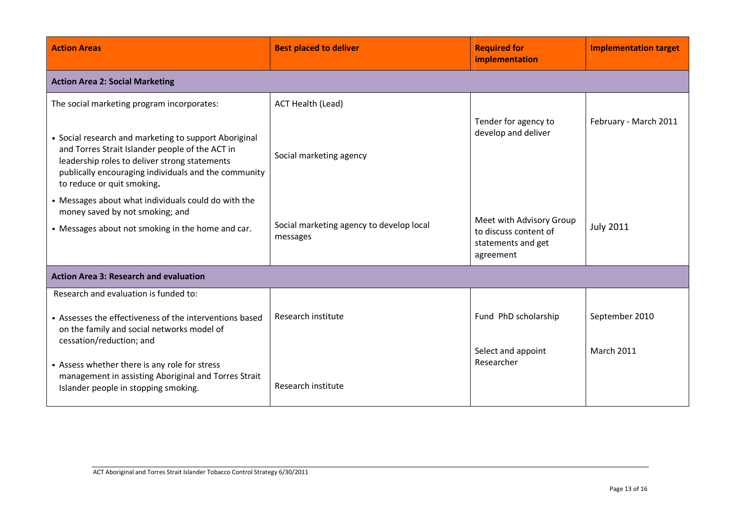| <b>Action Areas</b>                                                                                                                                                                                                                             | <b>Best placed to deliver</b>                        | <b>Required for</b><br>implementation                                                | <b>Implementation target</b> |  |  |
|-------------------------------------------------------------------------------------------------------------------------------------------------------------------------------------------------------------------------------------------------|------------------------------------------------------|--------------------------------------------------------------------------------------|------------------------------|--|--|
| <b>Action Area 2: Social Marketing</b>                                                                                                                                                                                                          |                                                      |                                                                                      |                              |  |  |
| The social marketing program incorporates:                                                                                                                                                                                                      | <b>ACT Health (Lead)</b>                             |                                                                                      |                              |  |  |
| • Social research and marketing to support Aboriginal<br>and Torres Strait Islander people of the ACT in<br>leadership roles to deliver strong statements<br>publically encouraging individuals and the community<br>to reduce or quit smoking. | Social marketing agency                              | Tender for agency to<br>develop and deliver                                          | February - March 2011        |  |  |
| • Messages about what individuals could do with the<br>money saved by not smoking; and<br>• Messages about not smoking in the home and car.                                                                                                     | Social marketing agency to develop local<br>messages | Meet with Advisory Group<br>to discuss content of<br>statements and get<br>agreement | <b>July 2011</b>             |  |  |
| <b>Action Area 3: Research and evaluation</b>                                                                                                                                                                                                   |                                                      |                                                                                      |                              |  |  |
| Research and evaluation is funded to:<br>• Assesses the effectiveness of the interventions based<br>on the family and social networks model of<br>cessation/reduction; and                                                                      | Research institute                                   | Fund PhD scholarship                                                                 | September 2010               |  |  |
| • Assess whether there is any role for stress<br>management in assisting Aboriginal and Torres Strait<br>Islander people in stopping smoking.                                                                                                   | Research institute                                   | Select and appoint<br>Researcher                                                     | <b>March 2011</b>            |  |  |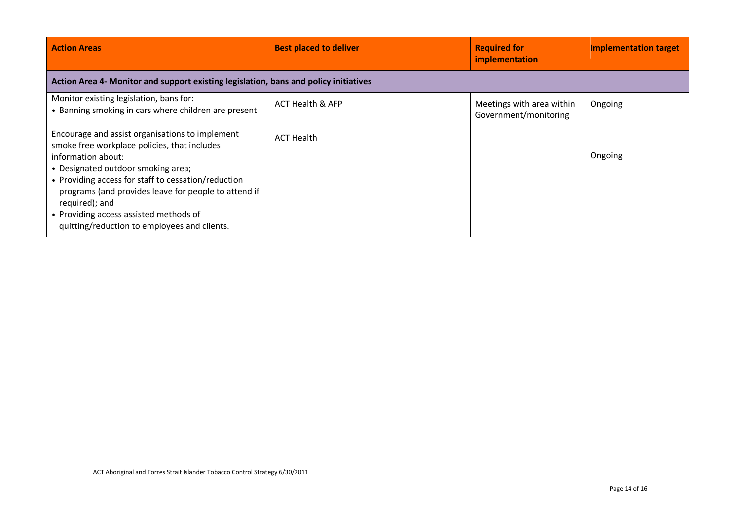| <b>Action Areas</b>                                                                                                                                                                                                                                                                                                                                                                    | <b>Best placed to deliver</b> | <b>Required for</b><br>implementation              | <b>Implementation target</b> |  |  |
|----------------------------------------------------------------------------------------------------------------------------------------------------------------------------------------------------------------------------------------------------------------------------------------------------------------------------------------------------------------------------------------|-------------------------------|----------------------------------------------------|------------------------------|--|--|
| Action Area 4- Monitor and support existing legislation, bans and policy initiatives                                                                                                                                                                                                                                                                                                   |                               |                                                    |                              |  |  |
| Monitor existing legislation, bans for:<br>• Banning smoking in cars where children are present                                                                                                                                                                                                                                                                                        | <b>ACT Health &amp; AFP</b>   | Meetings with area within<br>Government/monitoring | Ongoing                      |  |  |
| Encourage and assist organisations to implement<br>smoke free workplace policies, that includes<br>information about:<br>• Designated outdoor smoking area;<br>• Providing access for staff to cessation/reduction<br>programs (and provides leave for people to attend if<br>required); and<br>• Providing access assisted methods of<br>quitting/reduction to employees and clients. | <b>ACT Health</b>             |                                                    | Ongoing                      |  |  |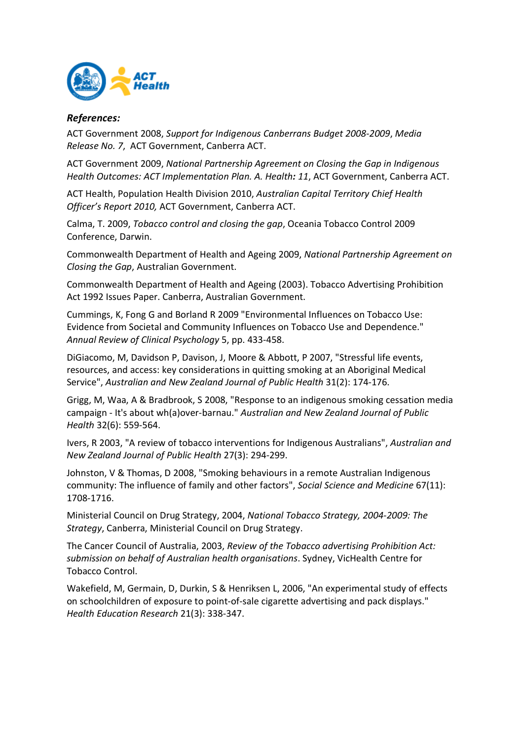

#### *References:*

ACT Government 2008, *Support for Indigenous Canberrans Budget 2008-2009*, *Media Release No. 7*, ACT Government, Canberra ACT.

ACT Government 2009, *National Partnership Agreement on Closing the Gap in Indigenous Health Outcomes: ACT Implementation Plan. A. Health: 11*, ACT Government, Canberra ACT.

ACT Health, Population Health Division 2010, *Australian Capital Territory Chief Health Officer's Report 2010,* ACT Government, Canberra ACT.

Calma, T. 2009, *Tobacco control and closing the gap*, Oceania Tobacco Control 2009 Conference, Darwin.

Commonwealth Department of Health and Ageing 2009, *National Partnership Agreement on Closing the Gap*, Australian Government.

Commonwealth Department of Health and Ageing (2003). Tobacco Advertising Prohibition Act 1992 Issues Paper. Canberra, Australian Government.

Cummings, K, Fong G and Borland R 2009 "Environmental Influences on Tobacco Use: Evidence from Societal and Community Influences on Tobacco Use and Dependence." *Annual Review of Clinical Psychology* 5, pp. 433-458.

DiGiacomo, M, Davidson P, Davison, J, Moore & Abbott, P 2007, "Stressful life events, resources, and access: key considerations in quitting smoking at an Aboriginal Medical Service", *Australian and New Zealand Journal of Public Health* 31(2): 174-176.

Grigg, M, Waa, A & Bradbrook, S 2008, "Response to an indigenous smoking cessation media campaign - It's about wh(a)over-barnau." *Australian and New Zealand Journal of Public Health* 32(6): 559-564.

Ivers, R 2003, "A review of tobacco interventions for Indigenous Australians", *Australian and New Zealand Journal of Public Health* 27(3): 294-299.

Johnston, V & Thomas, D 2008, "Smoking behaviours in a remote Australian Indigenous community: The influence of family and other factors", *Social Science and Medicine* 67(11): 1708-1716.

Ministerial Council on Drug Strategy, 2004, *National Tobacco Strategy, 2004-2009: The Strategy*, Canberra, Ministerial Council on Drug Strategy.

The Cancer Council of Australia, 2003, *Review of the Tobacco advertising Prohibition Act: submission on behalf of Australian health organisations*. Sydney, VicHealth Centre for Tobacco Control.

Wakefield, M, Germain, D, Durkin, S & Henriksen L, 2006, "An experimental study of effects on schoolchildren of exposure to point-of-sale cigarette advertising and pack displays." *Health Education Research* 21(3): 338-347.